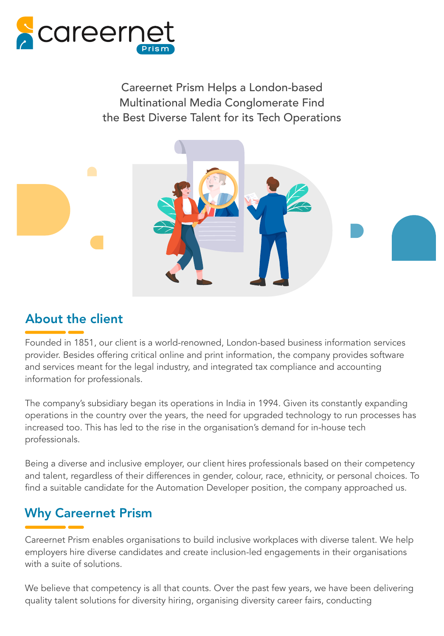

Careernet Prism Helps a London-based Multinational Media Conglomerate Find the Best Diverse Talent for its Tech Operations



# About the client

Founded in 1851, our client is a world-renowned, London-based business information services provider. Besides offering critical online and print information, the company provides software and services meant for the legal industry, and integrated tax compliance and accounting information for professionals.

The company's subsidiary began its operations in India in 1994. Given its constantly expanding operations in the country over the years, the need for upgraded technology to run processes has increased too. This has led to the rise in the organisation's demand for in-house tech professionals.

Being a diverse and inclusive employer, our client hires professionals based on their competency and talent, regardless of their differences in gender, colour, race, ethnicity, or personal choices. To find a suitable candidate for the Automation Developer position, the company approached us.

# Why Careernet Prism

Careernet Prism enables organisations to build inclusive workplaces with diverse talent. We help employers hire diverse candidates and create inclusion-led engagements in their organisations with a suite of solutions.

We believe that competency is all that counts. Over the past few years, we have been delivering quality talent solutions for diversity hiring, organising diversity career fairs, conducting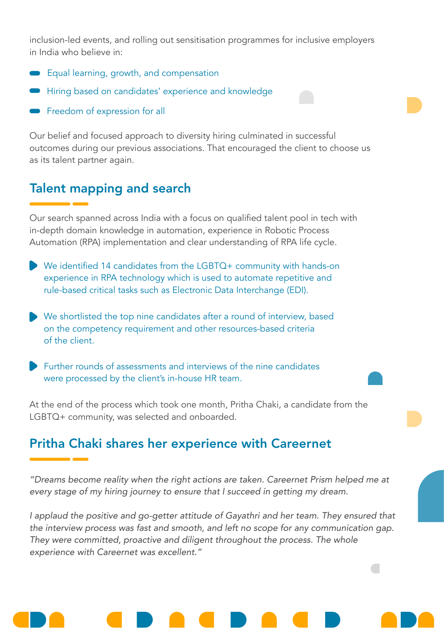inclusion-led events, and rolling out sensitisation programmes for inclusive employers in India who believe in:

- Equal learning, growth, and compensation
- Hiring based on candidates' experience and knowledge
- Freedom of expression for all

Our belief and focused approach to diversity hiring culminated in successful outcomes during our previous associations. That encouraged the client to choose us as its talent partner again.

#### Talent mapping and search

Our search spanned across India with a focus on qualified talent pool in tech with in-depth domain knowledge in automation, experience in Robotic Process Automation (RPA) implementation and clear understanding of RPA life cycle.

- We identified 14 candidates from the LGBTQ+ community with hands-on experience in RPA technology which is used to automate repetitive and rule-based critical tasks such as Electronic Data Interchange (EDI).
- We shortlisted the top nine candidates after a round of interview, based on the competency requirement and other resources-based criteria of the client.
- Further rounds of assessments and interviews of the nine candidates were processed by the client's in-house HR team.

At the end of the process which took one month, Pritha Chaki, a candidate from the LGBTQ+ community, was selected and onboarded.

## Pritha Chaki shares her experience with Careernet

"Dreams become reality when the right actions are taken. Careernet Prism helped me at every stage of my hiring journey to ensure that I succeed in getting my dream.

I applaud the positive and go-getter attitude of Gayathri and her team. They ensured that the interview process was fast and smooth, and left no scope for any communication gap. They were committed, proactive and diligent throughout the process. The whole experience with Careernet was excellent."